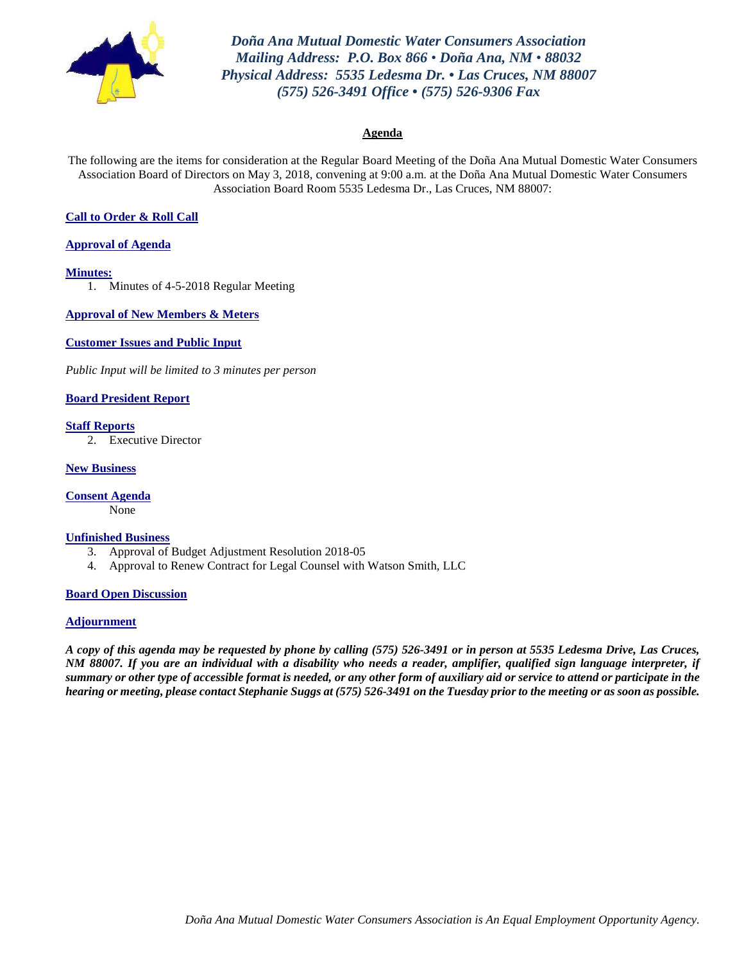

*Doña Ana Mutual Domestic Water Consumers Association Mailing Address: P.O. Box 866 • Doña Ana, NM • 88032 Physical Address: 5535 Ledesma Dr. • Las Cruces, NM 88007 (575) 526-3491 Office • (575) 526-9306 Fax*

#### **Agenda**

The following are the items for consideration at the Regular Board Meeting of the Doña Ana Mutual Domestic Water Consumers Association Board of Directors on May 3, 2018, convening at 9:00 a.m. at the Doña Ana Mutual Domestic Water Consumers Association Board Room 5535 Ledesma Dr., Las Cruces, NM 88007:

#### **Call to Order & Roll Call**

#### **Approval of Agenda**

#### **Minutes:**

1. Minutes of 4-5-2018 Regular Meeting

**Approval of New Members & Meters**

**Customer Issues and Public Input**

*Public Input will be limited to 3 minutes per person*

#### **Board President Report**

#### **Staff Reports**

2. Executive Director

#### **New Business**

**Consent Agenda**

None

#### **Unfinished Business**

- 3. Approval of Budget Adjustment Resolution 2018-05
- 4. Approval to Renew Contract for Legal Counsel with Watson Smith, LLC

#### **Board Open Discussion**

#### **Adjournment**

*A copy of this agenda may be requested by phone by calling (575) 526-3491 or in person at 5535 Ledesma Drive, Las Cruces, NM 88007. If you are an individual with a disability who needs a reader, amplifier, qualified sign language interpreter, if summary or other type of accessible format is needed, or any other form of auxiliary aid or service to attend or participate in the hearing or meeting, please contact Stephanie Suggs at (575) 526-3491 on the Tuesday prior to the meeting or as soon as possible.*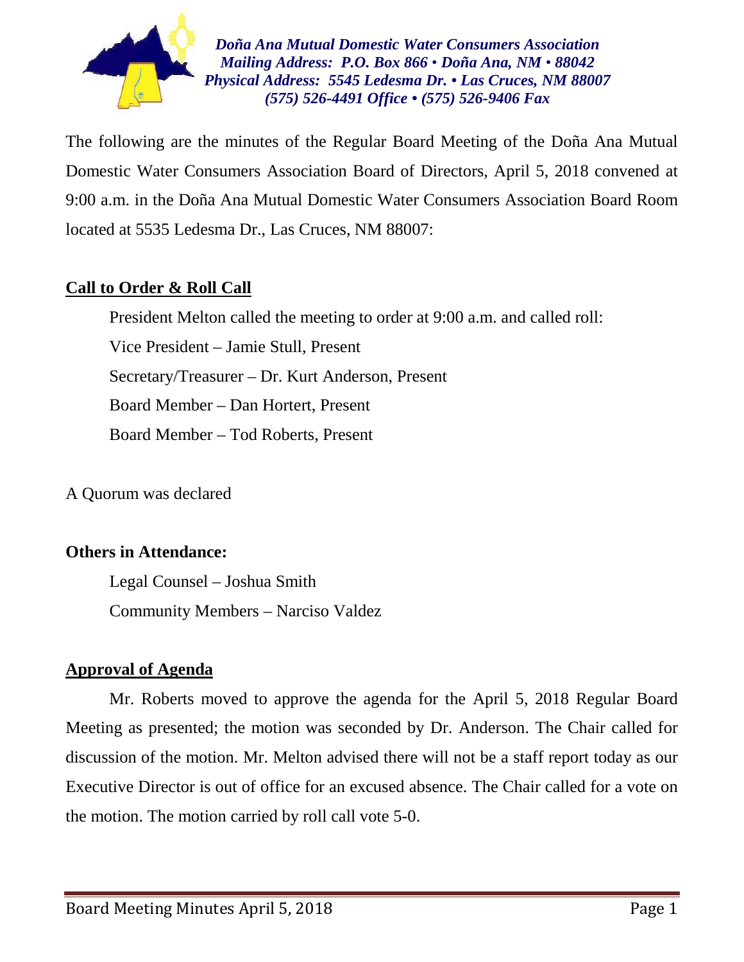

*Doña Ana Mutual Domestic Water Consumers Association Mailing Address: P.O. Box 866 • Doña Ana, NM • 88042 Physical Address: 5545 Ledesma Dr. • Las Cruces, NM 88007 (575) 526-4491 Office • (575) 526-9406 Fax*

The following are the minutes of the Regular Board Meeting of the Doña Ana Mutual Domestic Water Consumers Association Board of Directors, April 5, 2018 convened at 9:00 a.m. in the Doña Ana Mutual Domestic Water Consumers Association Board Room located at 5535 Ledesma Dr., Las Cruces, NM 88007:

## **Call to Order & Roll Call**

President Melton called the meeting to order at 9:00 a.m. and called roll: Vice President – Jamie Stull, Present Secretary/Treasurer – Dr. Kurt Anderson, Present Board Member – Dan Hortert, Present Board Member – Tod Roberts, Present

A Quorum was declared

## **Others in Attendance:**

Legal Counsel – Joshua Smith Community Members – Narciso Valdez

## **Approval of Agenda**

Mr. Roberts moved to approve the agenda for the April 5, 2018 Regular Board Meeting as presented; the motion was seconded by Dr. Anderson. The Chair called for discussion of the motion. Mr. Melton advised there will not be a staff report today as our Executive Director is out of office for an excused absence. The Chair called for a vote on the motion. The motion carried by roll call vote 5-0.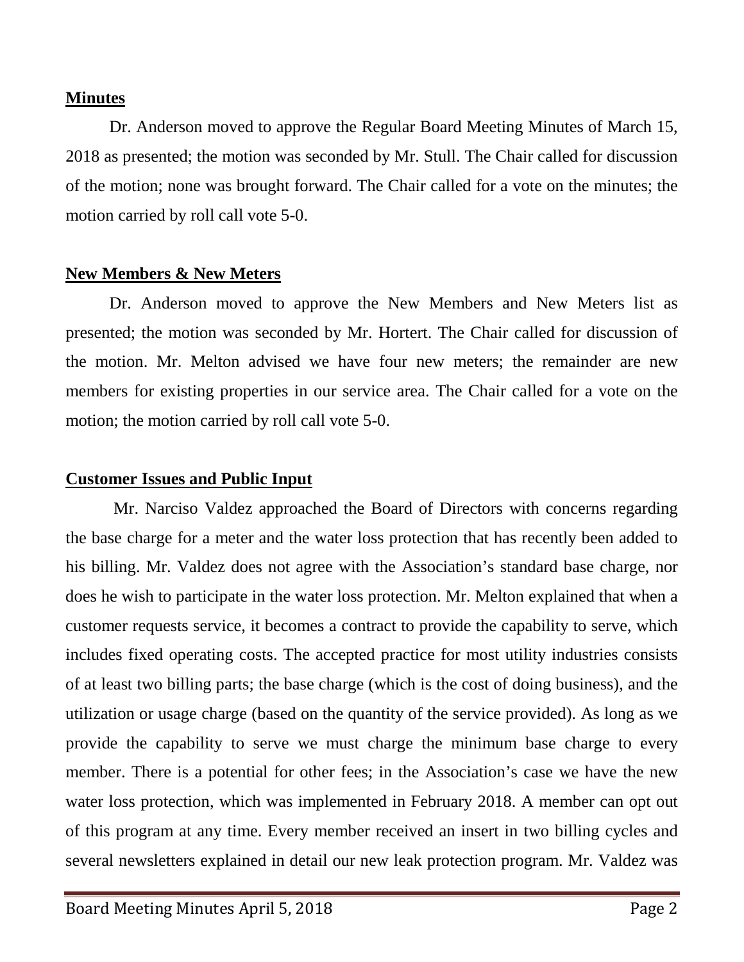## **Minutes**

Dr. Anderson moved to approve the Regular Board Meeting Minutes of March 15, 2018 as presented; the motion was seconded by Mr. Stull. The Chair called for discussion of the motion; none was brought forward. The Chair called for a vote on the minutes; the motion carried by roll call vote 5-0.

## **New Members & New Meters**

Dr. Anderson moved to approve the New Members and New Meters list as presented; the motion was seconded by Mr. Hortert. The Chair called for discussion of the motion. Mr. Melton advised we have four new meters; the remainder are new members for existing properties in our service area. The Chair called for a vote on the motion; the motion carried by roll call vote 5-0.

## **Customer Issues and Public Input**

Mr. Narciso Valdez approached the Board of Directors with concerns regarding the base charge for a meter and the water loss protection that has recently been added to his billing. Mr. Valdez does not agree with the Association's standard base charge, nor does he wish to participate in the water loss protection. Mr. Melton explained that when a customer requests service, it becomes a contract to provide the capability to serve, which includes fixed operating costs. The accepted practice for most utility industries consists of at least two billing parts; the base charge (which is the cost of doing business), and the utilization or usage charge (based on the quantity of the service provided). As long as we provide the capability to serve we must charge the minimum base charge to every member. There is a potential for other fees; in the Association's case we have the new water loss protection, which was implemented in February 2018. A member can opt out of this program at any time. Every member received an insert in two billing cycles and several newsletters explained in detail our new leak protection program. Mr. Valdez was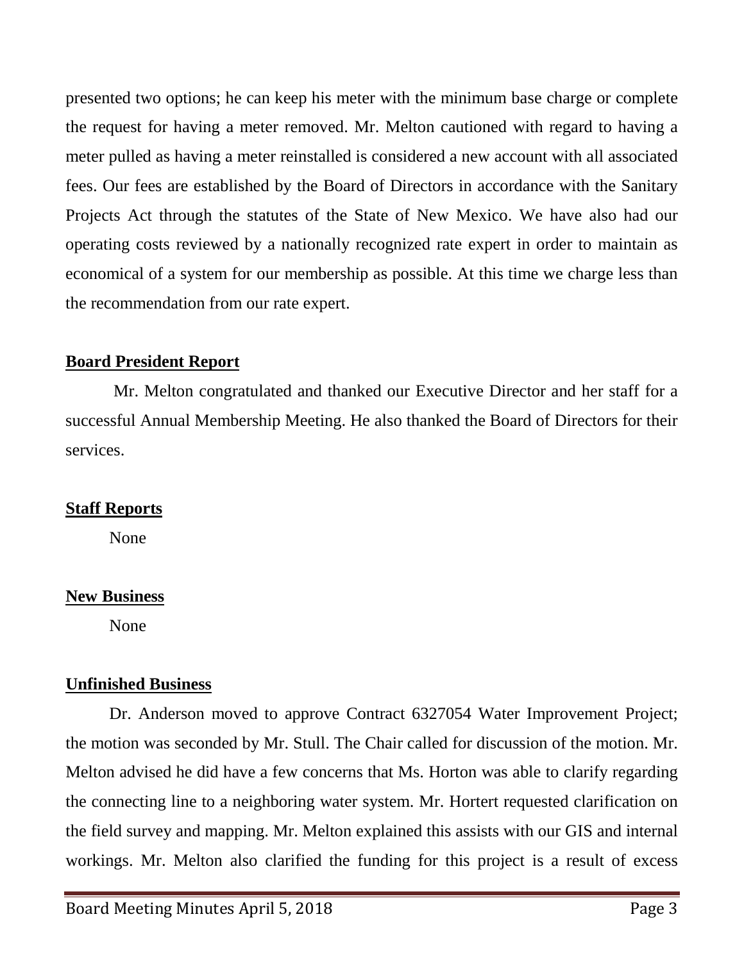presented two options; he can keep his meter with the minimum base charge or complete the request for having a meter removed. Mr. Melton cautioned with regard to having a meter pulled as having a meter reinstalled is considered a new account with all associated fees. Our fees are established by the Board of Directors in accordance with the Sanitary Projects Act through the statutes of the State of New Mexico. We have also had our operating costs reviewed by a nationally recognized rate expert in order to maintain as economical of a system for our membership as possible. At this time we charge less than the recommendation from our rate expert.

## **Board President Report**

Mr. Melton congratulated and thanked our Executive Director and her staff for a successful Annual Membership Meeting. He also thanked the Board of Directors for their services.

## **Staff Reports**

None

## **New Business**

None

## **Unfinished Business**

Dr. Anderson moved to approve Contract 6327054 Water Improvement Project; the motion was seconded by Mr. Stull. The Chair called for discussion of the motion. Mr. Melton advised he did have a few concerns that Ms. Horton was able to clarify regarding the connecting line to a neighboring water system. Mr. Hortert requested clarification on the field survey and mapping. Mr. Melton explained this assists with our GIS and internal workings. Mr. Melton also clarified the funding for this project is a result of excess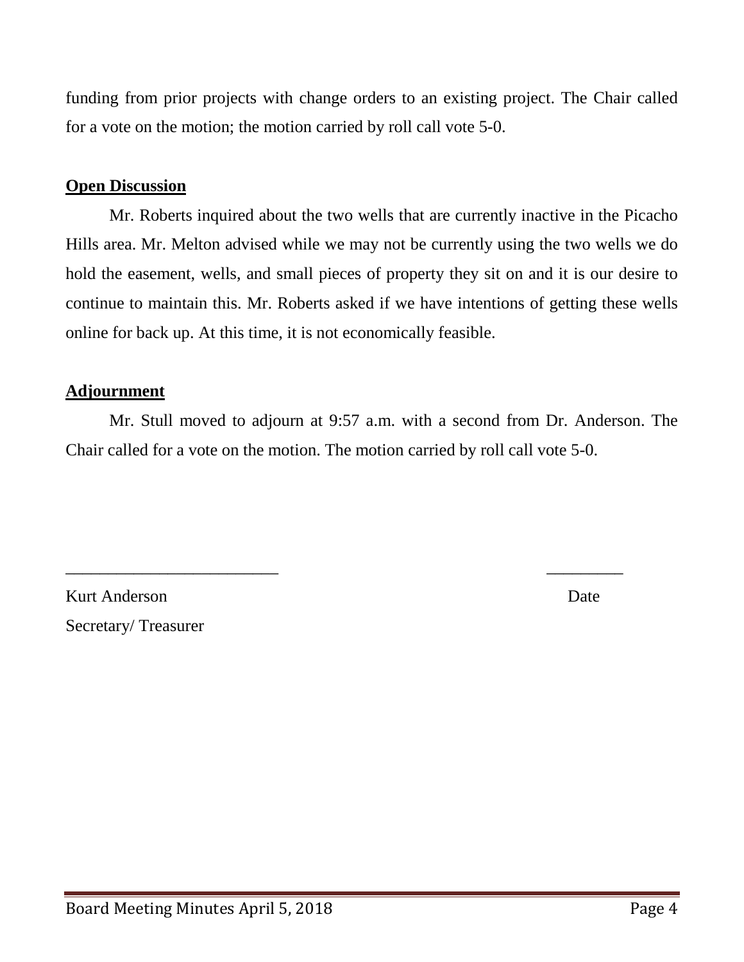funding from prior projects with change orders to an existing project. The Chair called for a vote on the motion; the motion carried by roll call vote 5-0.

## **Open Discussion**

Mr. Roberts inquired about the two wells that are currently inactive in the Picacho Hills area. Mr. Melton advised while we may not be currently using the two wells we do hold the easement, wells, and small pieces of property they sit on and it is our desire to continue to maintain this. Mr. Roberts asked if we have intentions of getting these wells online for back up. At this time, it is not economically feasible.

## **Adjournment**

Mr. Stull moved to adjourn at 9:57 a.m. with a second from Dr. Anderson. The Chair called for a vote on the motion. The motion carried by roll call vote 5-0.

\_\_\_\_\_\_\_\_\_\_\_\_\_\_\_\_\_\_\_\_\_\_\_\_\_ \_\_\_\_\_\_\_\_\_

Kurt Anderson Date Secretary/ Treasurer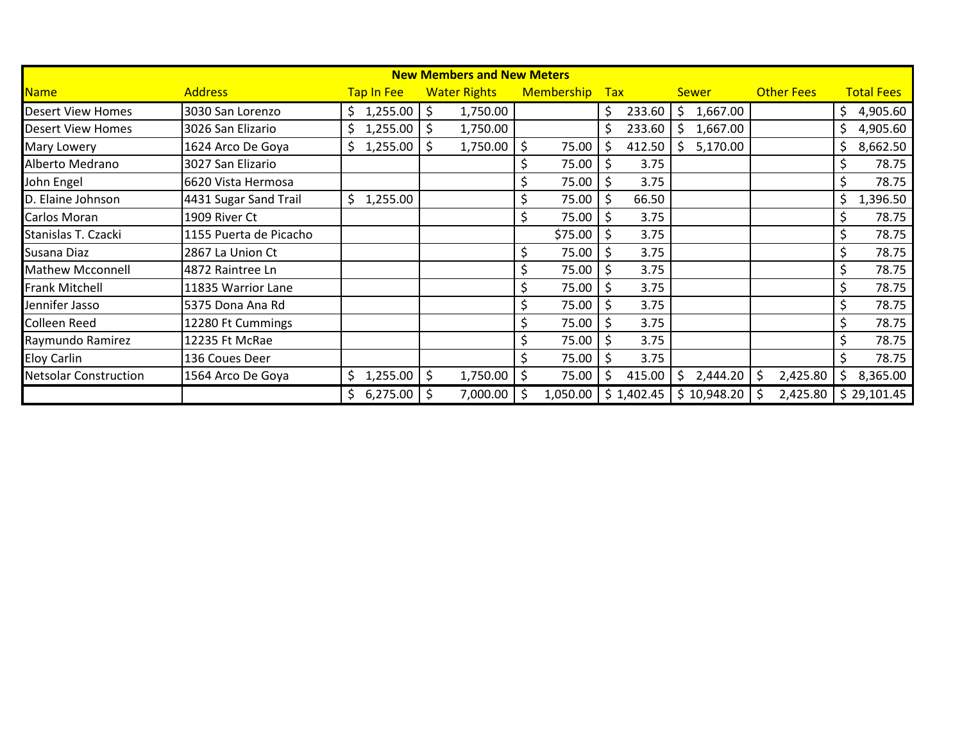| <b>New Members and New Meters</b> |                        |            |                     |                   |               |                |                   |                   |  |
|-----------------------------------|------------------------|------------|---------------------|-------------------|---------------|----------------|-------------------|-------------------|--|
| <b>Name</b>                       | <b>Address</b>         | Tap In Fee | <b>Water Rights</b> | <b>Membership</b> | Tax           | <b>Sewer</b>   | <b>Other Fees</b> | <b>Total Fees</b> |  |
| <b>Desert View Homes</b>          | 3030 San Lorenzo       | 1,255.00   | Ŝ.<br>1,750.00      |                   | \$.<br>233.60 | \$<br>1,667.00 |                   | 4,905.60          |  |
| <b>Desert View Homes</b>          | 3026 San Elizario      | 1,255.00   | 1,750.00<br>Ś       |                   | 233.60<br>Ś.  | 1,667.00<br>\$ |                   | 4,905.60          |  |
| Mary Lowery                       | 1624 Arco De Goya      | 1,255.00   | 1,750.00<br>S       | 75.00             | 412.50<br>S   | 5,170.00<br>S. |                   | 8,662.50          |  |
| Alberto Medrano                   | 3027 San Elizario      |            |                     | 75.00             | \$<br>3.75    |                |                   | 78.75             |  |
| John Engel                        | 6620 Vista Hermosa     |            |                     | 75.00             | \$<br>3.75    |                |                   | 78.75             |  |
| D. Elaine Johnson                 | 4431 Sugar Sand Trail  | 1,255.00   |                     | 75.00             | \$<br>66.50   |                |                   | 1,396.50          |  |
| Carlos Moran                      | 1909 River Ct          |            |                     | 75.00             | 3.75          |                |                   | 78.75             |  |
| Stanislas T. Czacki               | 1155 Puerta de Picacho |            |                     | \$75.00           | 3.75          |                |                   | 78.75             |  |
| Susana Diaz                       | 2867 La Union Ct       |            |                     | 75.00             | 3.75          |                |                   | 78.75             |  |
| <b>Mathew Mcconnell</b>           | 4872 Raintree Ln       |            |                     | 75.00             | 3.75          |                |                   | 78.75             |  |
| <b>Frank Mitchell</b>             | 11835 Warrior Lane     |            |                     | 75.00             | 3.75          |                |                   | 78.75             |  |
| Jennifer Jasso                    | 5375 Dona Ana Rd       |            |                     | 75.00             | 3.75          |                |                   | 78.75             |  |
| <b>Colleen Reed</b>               | 12280 Ft Cummings      |            |                     | 75.00             | 3.75          |                |                   | 78.75             |  |
| Raymundo Ramirez                  | 12235 Ft McRae         |            |                     | 75.00             | \$<br>3.75    |                |                   | 78.75             |  |
| <b>Eloy Carlin</b>                | 136 Coues Deer         |            |                     | 75.00             | \$<br>3.75    |                |                   | 78.75             |  |
| <b>Netsolar Construction</b>      | 1564 Arco De Goya      | 1,255.00   | \$<br>1,750.00      | 75.00             | \$<br>415.00  | \$<br>2,444.20 | 2,425.80          | 8,365.00          |  |
|                                   |                        | 6,275.00   | 7,000.00            | 1,050.00          | \$1,402.45    | \$10,948.20    | 2,425.80          | \$29,101.45       |  |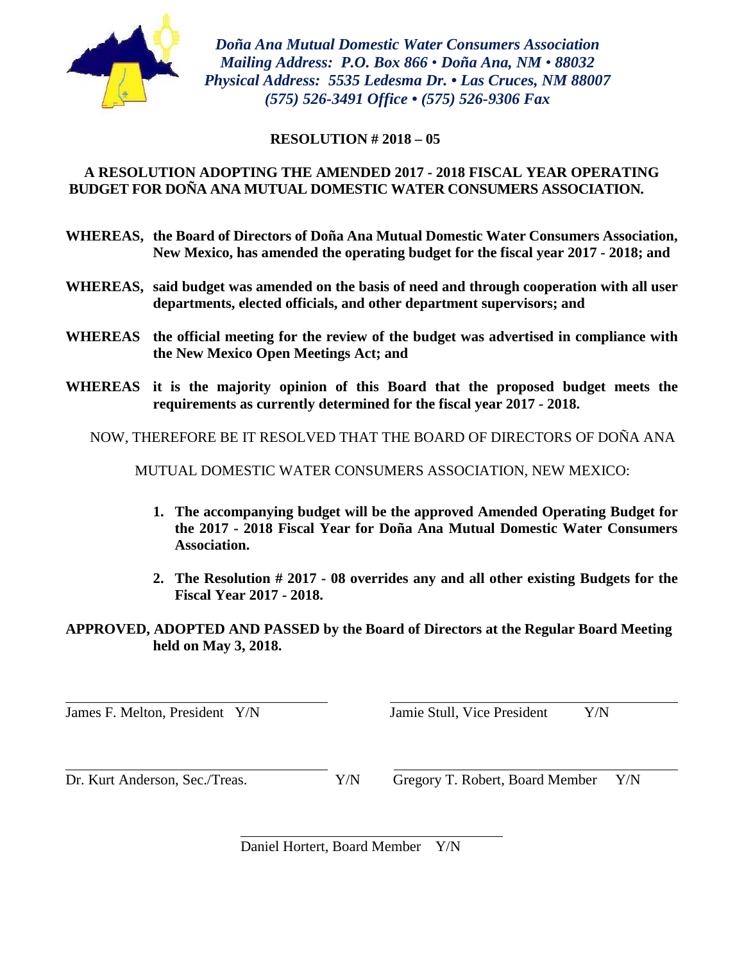

*Doña Ana Mutual Domestic Water Consumers Association Mailing Address: P.O. Box 866 • Doña Ana, NM • 88032 Physical Address: 5535 Ledesma Dr. • Las Cruces, NM 88007 (575) 526-3491 Office • (575) 526-9306 Fax*

#### **RESOLUTION # 2018 – 05**

## **A RESOLUTION ADOPTING THE AMENDED 2017 - 2018 FISCAL YEAR OPERATING BUDGET FOR DOÑA ANA MUTUAL DOMESTIC WATER CONSUMERS ASSOCIATION.**

- **WHEREAS, the Board of Directors of Doña Ana Mutual Domestic Water Consumers Association, New Mexico, has amended the operating budget for the fiscal year 2017 - 2018; and**
- **WHEREAS, said budget was amended on the basis of need and through cooperation with all user departments, elected officials, and other department supervisors; and**
- **WHEREAS the official meeting for the review of the budget was advertised in compliance with the New Mexico Open Meetings Act; and**
- **WHEREAS it is the majority opinion of this Board that the proposed budget meets the requirements as currently determined for the fiscal year 2017 - 2018.**

NOW, THEREFORE BE IT RESOLVED THAT THE BOARD OF DIRECTORS OF DOÑA ANA

MUTUAL DOMESTIC WATER CONSUMERS ASSOCIATION, NEW MEXICO:

- **1. The accompanying budget will be the approved Amended Operating Budget for the 2017 - 2018 Fiscal Year for Doña Ana Mutual Domestic Water Consumers Association.**
- **2. The Resolution # 2017 - 08 overrides any and all other existing Budgets for the Fiscal Year 2017 - 2018.**

**APPROVED, ADOPTED AND PASSED by the Board of Directors at the Regular Board Meeting held on May 3, 2018.** 

James F. Melton, President Y/N Jamie Stull, Vice President Y/N

Dr. Kurt Anderson, Sec./Treas. Y/N Gregory T. Robert, Board Member Y/N

Daniel Hortert, Board Member Y/N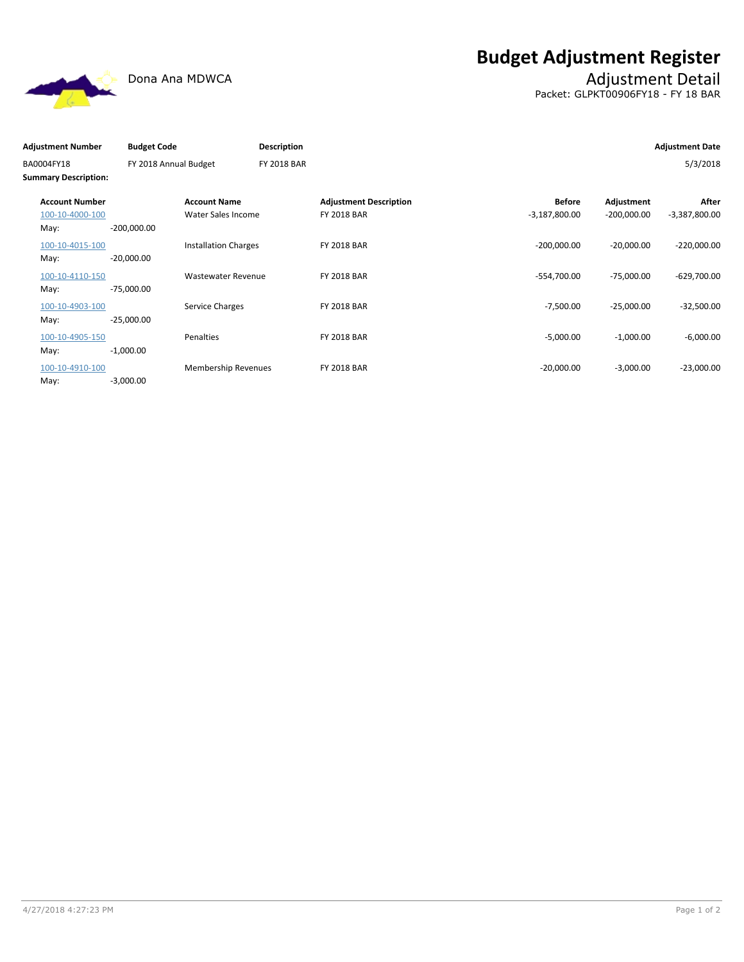**Budget Adjustment Register**



# Dona Ana MDWCA **Adjustment Detail**

Packet: GLPKT00906FY18 - FY 18 BAR

| <b>Adjustment Number</b>                  | <b>Budget Code</b>    |                             | <b>Description</b> |                               |                 |               | <b>Adjustment Date</b> |
|-------------------------------------------|-----------------------|-----------------------------|--------------------|-------------------------------|-----------------|---------------|------------------------|
| BA0004FY18<br><b>Summary Description:</b> | FY 2018 Annual Budget |                             | <b>FY 2018 BAR</b> |                               |                 |               | 5/3/2018               |
| <b>Account Number</b>                     |                       | <b>Account Name</b>         |                    | <b>Adjustment Description</b> | <b>Before</b>   | Adjustment    | After                  |
| 100-10-4000-100                           |                       | Water Sales Income          |                    | <b>FY 2018 BAR</b>            | $-3,187,800.00$ | $-200,000.00$ | $-3,387,800.00$        |
| May:                                      | $-200,000.00$         |                             |                    |                               |                 |               |                        |
| 100-10-4015-100                           |                       | <b>Installation Charges</b> |                    | <b>FY 2018 BAR</b>            | $-200,000.00$   | $-20,000.00$  | $-220,000.00$          |
| May:                                      | $-20,000.00$          |                             |                    |                               |                 |               |                        |
| 100-10-4110-150                           |                       | Wastewater Revenue          |                    | <b>FY 2018 BAR</b>            | -554,700.00     | $-75,000.00$  | $-629,700.00$          |
| May:                                      | $-75,000.00$          |                             |                    |                               |                 |               |                        |
| 100-10-4903-100                           |                       | Service Charges             |                    | <b>FY 2018 BAR</b>            | $-7,500.00$     | $-25,000.00$  | $-32,500.00$           |
| May:                                      | $-25,000.00$          |                             |                    |                               |                 |               |                        |
| 100-10-4905-150                           |                       | Penalties                   |                    | <b>FY 2018 BAR</b>            | $-5,000.00$     | $-1,000.00$   | $-6,000.00$            |
| May:                                      | $-1,000.00$           |                             |                    |                               |                 |               |                        |
| 100-10-4910-100                           |                       | <b>Membership Revenues</b>  |                    | <b>FY 2018 BAR</b>            | $-20,000.00$    | $-3,000.00$   | $-23,000.00$           |
| May:                                      | $-3,000.00$           |                             |                    |                               |                 |               |                        |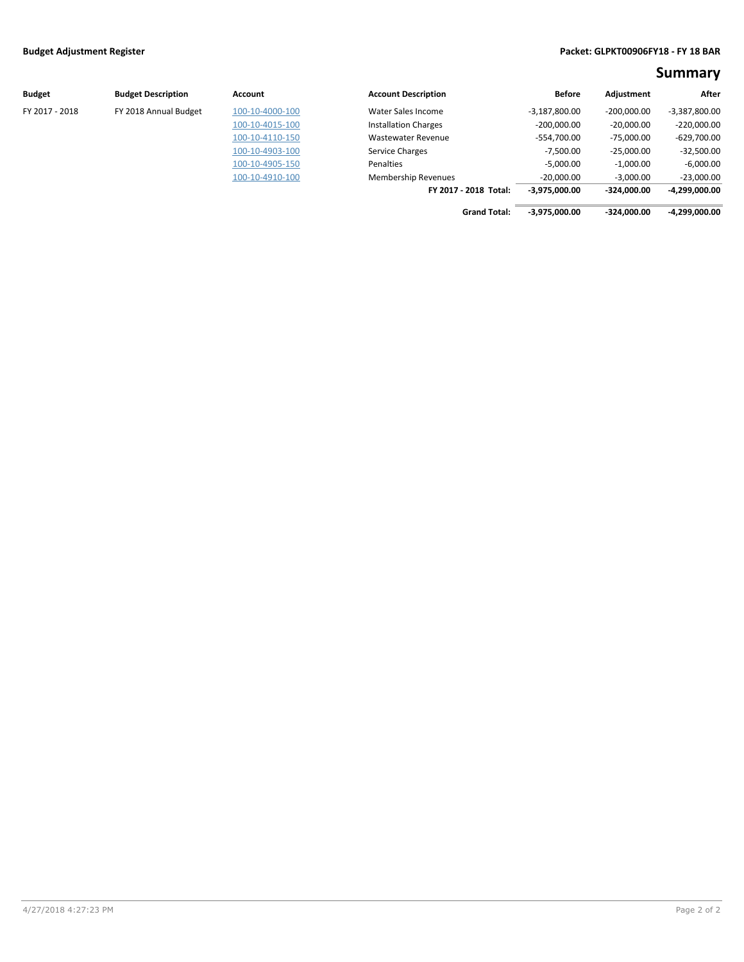#### **Budget Adjustment Register Packet: GLPKT00906FY18 - FY 18 BAR**

**Summary**

| <b>Budget</b>  | <b>Budget Description</b> | Account         | <b>Account Description</b>  | <b>Before</b>   | Adjustment    | After           |
|----------------|---------------------------|-----------------|-----------------------------|-----------------|---------------|-----------------|
| FY 2017 - 2018 | FY 2018 Annual Budget     | 100-10-4000-100 | Water Sales Income          | $-3,187,800.00$ | $-200.000.00$ | $-3,387,800.00$ |
|                |                           | 100-10-4015-100 | <b>Installation Charges</b> | $-200,000.00$   | $-20,000.00$  | $-220,000.00$   |
|                |                           | 100-10-4110-150 | <b>Wastewater Revenue</b>   | $-554,700.00$   | $-75,000.00$  | $-629,700.00$   |
|                |                           | 100-10-4903-100 | Service Charges             | $-7,500.00$     | $-25,000.00$  | $-32,500.00$    |
|                |                           | 100-10-4905-150 | Penalties                   | $-5,000.00$     | $-1,000.00$   | $-6,000.00$     |
|                |                           | 100-10-4910-100 | <b>Membership Revenues</b>  | $-20,000.00$    | $-3,000.00$   | $-23,000.00$    |
|                |                           |                 | FY 2017 - 2018 Total:       | $-3,975,000.00$ | $-324.000.00$ | -4,299,000.00   |

 **Grand Total: -3,975,000.00 -324,000.00 -4,299,000.00**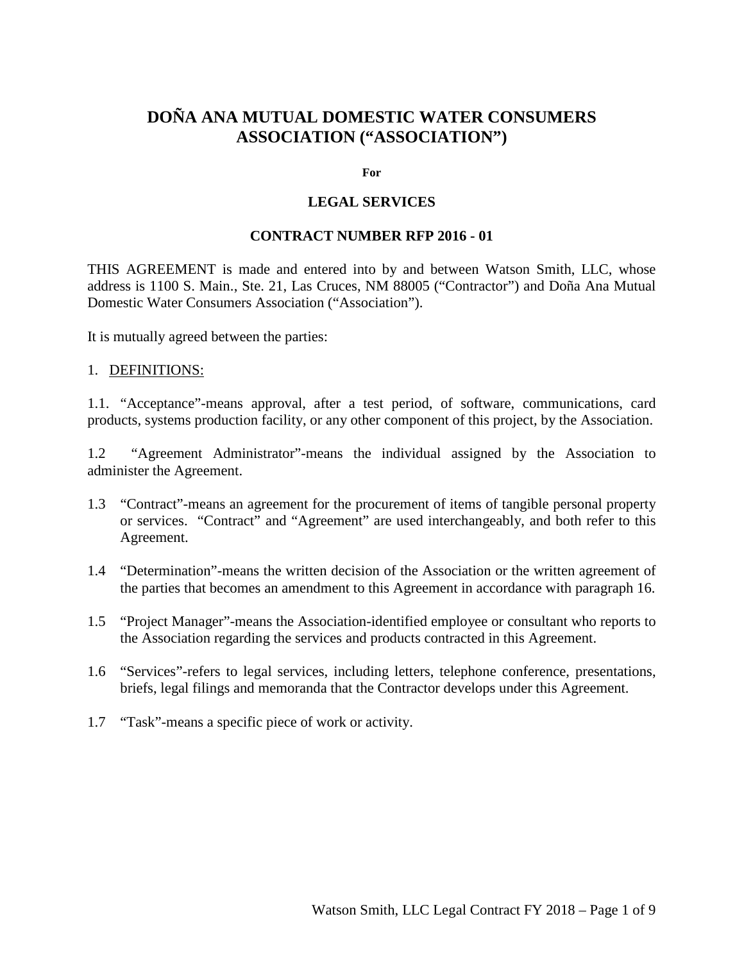## **DOÑA ANA MUTUAL DOMESTIC WATER CONSUMERS ASSOCIATION ("ASSOCIATION")**

#### **For**

#### **LEGAL SERVICES**

#### **CONTRACT NUMBER RFP 2016 - 01**

THIS AGREEMENT is made and entered into by and between Watson Smith, LLC, whose address is 1100 S. Main., Ste. 21, Las Cruces, NM 88005 ("Contractor") and Doña Ana Mutual Domestic Water Consumers Association ("Association").

It is mutually agreed between the parties:

#### 1. DEFINITIONS:

1.1. "Acceptance"-means approval, after a test period, of software, communications, card products, systems production facility, or any other component of this project, by the Association.

1.2 "Agreement Administrator"-means the individual assigned by the Association to administer the Agreement.

- 1.3 "Contract"-means an agreement for the procurement of items of tangible personal property or services. "Contract" and "Agreement" are used interchangeably, and both refer to this Agreement.
- 1.4 "Determination"-means the written decision of the Association or the written agreement of the parties that becomes an amendment to this Agreement in accordance with paragraph 16.
- 1.5 "Project Manager"-means the Association-identified employee or consultant who reports to the Association regarding the services and products contracted in this Agreement.
- 1.6 "Services"-refers to legal services, including letters, telephone conference, presentations, briefs, legal filings and memoranda that the Contractor develops under this Agreement.
- 1.7 "Task"-means a specific piece of work or activity.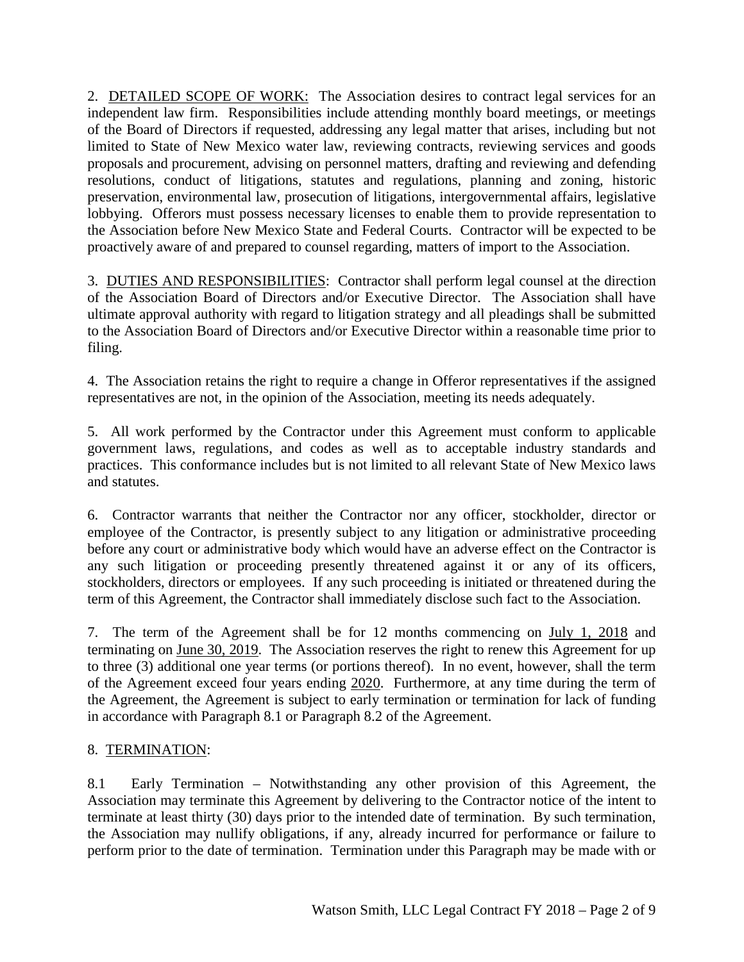2. DETAILED SCOPE OF WORK: The Association desires to contract legal services for an independent law firm. Responsibilities include attending monthly board meetings, or meetings of the Board of Directors if requested, addressing any legal matter that arises, including but not limited to State of New Mexico water law, reviewing contracts, reviewing services and goods proposals and procurement, advising on personnel matters, drafting and reviewing and defending resolutions, conduct of litigations, statutes and regulations, planning and zoning, historic preservation, environmental law, prosecution of litigations, intergovernmental affairs, legislative lobbying. Offerors must possess necessary licenses to enable them to provide representation to the Association before New Mexico State and Federal Courts. Contractor will be expected to be proactively aware of and prepared to counsel regarding, matters of import to the Association.

3. DUTIES AND RESPONSIBILITIES: Contractor shall perform legal counsel at the direction of the Association Board of Directors and/or Executive Director. The Association shall have ultimate approval authority with regard to litigation strategy and all pleadings shall be submitted to the Association Board of Directors and/or Executive Director within a reasonable time prior to filing.

4. The Association retains the right to require a change in Offeror representatives if the assigned representatives are not, in the opinion of the Association, meeting its needs adequately.

5. All work performed by the Contractor under this Agreement must conform to applicable government laws, regulations, and codes as well as to acceptable industry standards and practices. This conformance includes but is not limited to all relevant State of New Mexico laws and statutes.

6. Contractor warrants that neither the Contractor nor any officer, stockholder, director or employee of the Contractor, is presently subject to any litigation or administrative proceeding before any court or administrative body which would have an adverse effect on the Contractor is any such litigation or proceeding presently threatened against it or any of its officers, stockholders, directors or employees. If any such proceeding is initiated or threatened during the term of this Agreement, the Contractor shall immediately disclose such fact to the Association.

7. The term of the Agreement shall be for 12 months commencing on July 1, 2018 and terminating on June 30, 2019. The Association reserves the right to renew this Agreement for up to three (3) additional one year terms (or portions thereof). In no event, however, shall the term of the Agreement exceed four years ending 2020. Furthermore, at any time during the term of the Agreement, the Agreement is subject to early termination or termination for lack of funding in accordance with Paragraph 8.1 or Paragraph 8.2 of the Agreement.

## 8. TERMINATION:

8.1 Early Termination – Notwithstanding any other provision of this Agreement, the Association may terminate this Agreement by delivering to the Contractor notice of the intent to terminate at least thirty (30) days prior to the intended date of termination. By such termination, the Association may nullify obligations, if any, already incurred for performance or failure to perform prior to the date of termination. Termination under this Paragraph may be made with or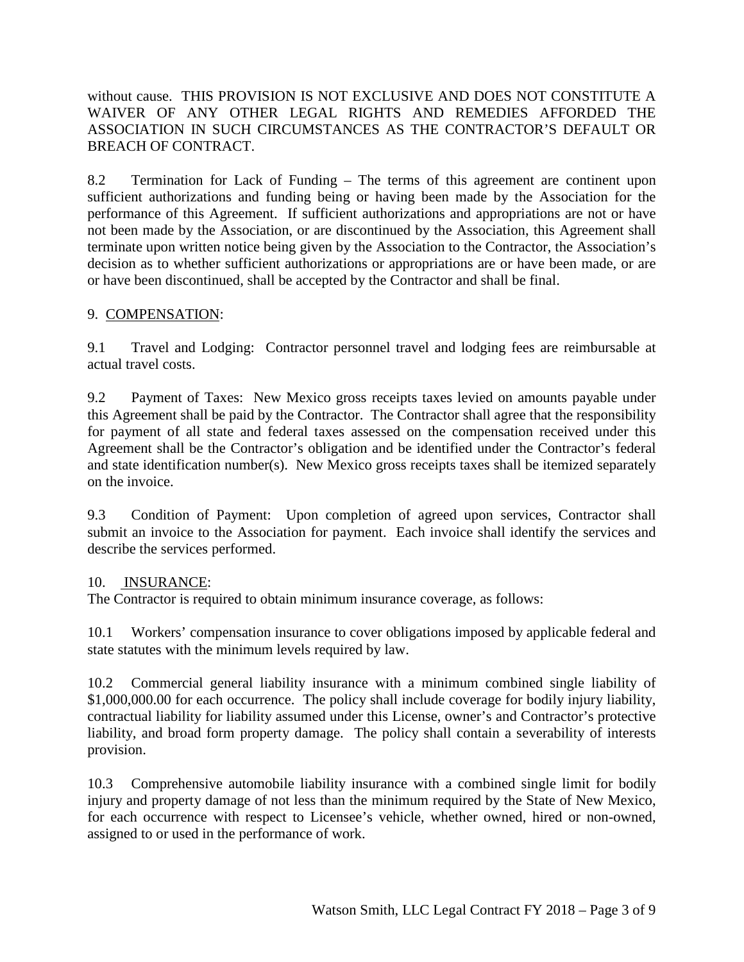without cause. THIS PROVISION IS NOT EXCLUSIVE AND DOES NOT CONSTITUTE A WAIVER OF ANY OTHER LEGAL RIGHTS AND REMEDIES AFFORDED THE ASSOCIATION IN SUCH CIRCUMSTANCES AS THE CONTRACTOR'S DEFAULT OR BREACH OF CONTRACT.

8.2 Termination for Lack of Funding – The terms of this agreement are continent upon sufficient authorizations and funding being or having been made by the Association for the performance of this Agreement. If sufficient authorizations and appropriations are not or have not been made by the Association, or are discontinued by the Association, this Agreement shall terminate upon written notice being given by the Association to the Contractor, the Association's decision as to whether sufficient authorizations or appropriations are or have been made, or are or have been discontinued, shall be accepted by the Contractor and shall be final.

## 9. COMPENSATION:

9.1 Travel and Lodging: Contractor personnel travel and lodging fees are reimbursable at actual travel costs.

9.2 Payment of Taxes: New Mexico gross receipts taxes levied on amounts payable under this Agreement shall be paid by the Contractor. The Contractor shall agree that the responsibility for payment of all state and federal taxes assessed on the compensation received under this Agreement shall be the Contractor's obligation and be identified under the Contractor's federal and state identification number(s). New Mexico gross receipts taxes shall be itemized separately on the invoice.

9.3 Condition of Payment: Upon completion of agreed upon services, Contractor shall submit an invoice to the Association for payment. Each invoice shall identify the services and describe the services performed.

## 10. INSURANCE:

The Contractor is required to obtain minimum insurance coverage, as follows:

10.1 Workers' compensation insurance to cover obligations imposed by applicable federal and state statutes with the minimum levels required by law.

10.2 Commercial general liability insurance with a minimum combined single liability of \$1,000,000.00 for each occurrence. The policy shall include coverage for bodily injury liability, contractual liability for liability assumed under this License, owner's and Contractor's protective liability, and broad form property damage. The policy shall contain a severability of interests provision.

10.3 Comprehensive automobile liability insurance with a combined single limit for bodily injury and property damage of not less than the minimum required by the State of New Mexico, for each occurrence with respect to Licensee's vehicle, whether owned, hired or non-owned, assigned to or used in the performance of work.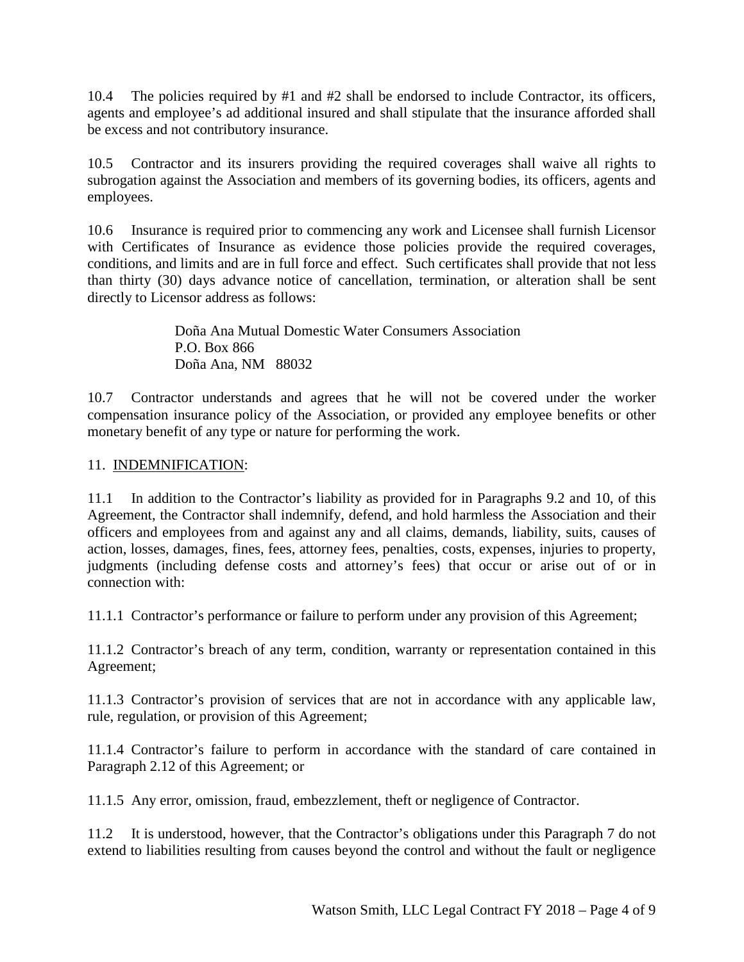10.4 The policies required by #1 and #2 shall be endorsed to include Contractor, its officers, agents and employee's ad additional insured and shall stipulate that the insurance afforded shall be excess and not contributory insurance.

10.5 Contractor and its insurers providing the required coverages shall waive all rights to subrogation against the Association and members of its governing bodies, its officers, agents and employees.

10.6 Insurance is required prior to commencing any work and Licensee shall furnish Licensor with Certificates of Insurance as evidence those policies provide the required coverages, conditions, and limits and are in full force and effect. Such certificates shall provide that not less than thirty (30) days advance notice of cancellation, termination, or alteration shall be sent directly to Licensor address as follows:

> Doña Ana Mutual Domestic Water Consumers Association P.O. Box 866 Doña Ana, NM 88032

10.7 Contractor understands and agrees that he will not be covered under the worker compensation insurance policy of the Association, or provided any employee benefits or other monetary benefit of any type or nature for performing the work.

## 11. INDEMNIFICATION:

11.1 In addition to the Contractor's liability as provided for in Paragraphs 9.2 and 10, of this Agreement, the Contractor shall indemnify, defend, and hold harmless the Association and their officers and employees from and against any and all claims, demands, liability, suits, causes of action, losses, damages, fines, fees, attorney fees, penalties, costs, expenses, injuries to property, judgments (including defense costs and attorney's fees) that occur or arise out of or in connection with:

11.1.1 Contractor's performance or failure to perform under any provision of this Agreement;

11.1.2 Contractor's breach of any term, condition, warranty or representation contained in this Agreement;

11.1.3 Contractor's provision of services that are not in accordance with any applicable law, rule, regulation, or provision of this Agreement;

11.1.4 Contractor's failure to perform in accordance with the standard of care contained in Paragraph 2.12 of this Agreement; or

11.1.5 Any error, omission, fraud, embezzlement, theft or negligence of Contractor.

11.2 It is understood, however, that the Contractor's obligations under this Paragraph 7 do not extend to liabilities resulting from causes beyond the control and without the fault or negligence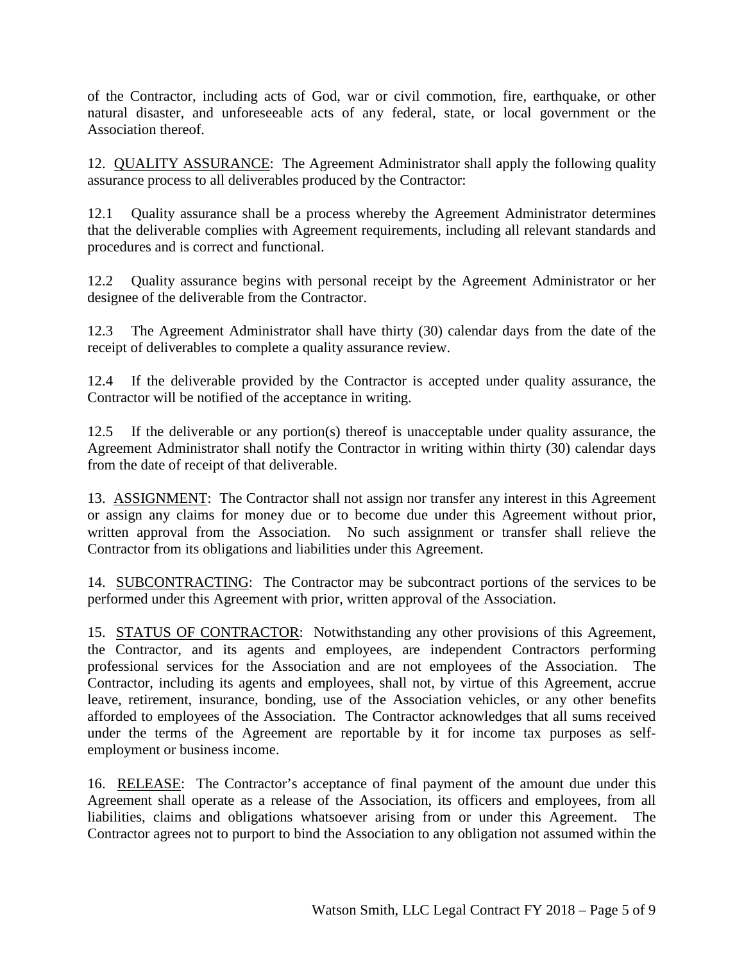of the Contractor, including acts of God, war or civil commotion, fire, earthquake, or other natural disaster, and unforeseeable acts of any federal, state, or local government or the Association thereof.

12. QUALITY ASSURANCE: The Agreement Administrator shall apply the following quality assurance process to all deliverables produced by the Contractor:

12.1 Quality assurance shall be a process whereby the Agreement Administrator determines that the deliverable complies with Agreement requirements, including all relevant standards and procedures and is correct and functional.

12.2 Quality assurance begins with personal receipt by the Agreement Administrator or her designee of the deliverable from the Contractor.

12.3 The Agreement Administrator shall have thirty (30) calendar days from the date of the receipt of deliverables to complete a quality assurance review.

12.4 If the deliverable provided by the Contractor is accepted under quality assurance, the Contractor will be notified of the acceptance in writing.

12.5 If the deliverable or any portion(s) thereof is unacceptable under quality assurance, the Agreement Administrator shall notify the Contractor in writing within thirty (30) calendar days from the date of receipt of that deliverable.

13. ASSIGNMENT: The Contractor shall not assign nor transfer any interest in this Agreement or assign any claims for money due or to become due under this Agreement without prior, written approval from the Association. No such assignment or transfer shall relieve the Contractor from its obligations and liabilities under this Agreement.

14. SUBCONTRACTING: The Contractor may be subcontract portions of the services to be performed under this Agreement with prior, written approval of the Association.

15. STATUS OF CONTRACTOR: Notwithstanding any other provisions of this Agreement, the Contractor, and its agents and employees, are independent Contractors performing professional services for the Association and are not employees of the Association. The Contractor, including its agents and employees, shall not, by virtue of this Agreement, accrue leave, retirement, insurance, bonding, use of the Association vehicles, or any other benefits afforded to employees of the Association. The Contractor acknowledges that all sums received under the terms of the Agreement are reportable by it for income tax purposes as selfemployment or business income.

16. RELEASE: The Contractor's acceptance of final payment of the amount due under this Agreement shall operate as a release of the Association, its officers and employees, from all liabilities, claims and obligations whatsoever arising from or under this Agreement. The Contractor agrees not to purport to bind the Association to any obligation not assumed within the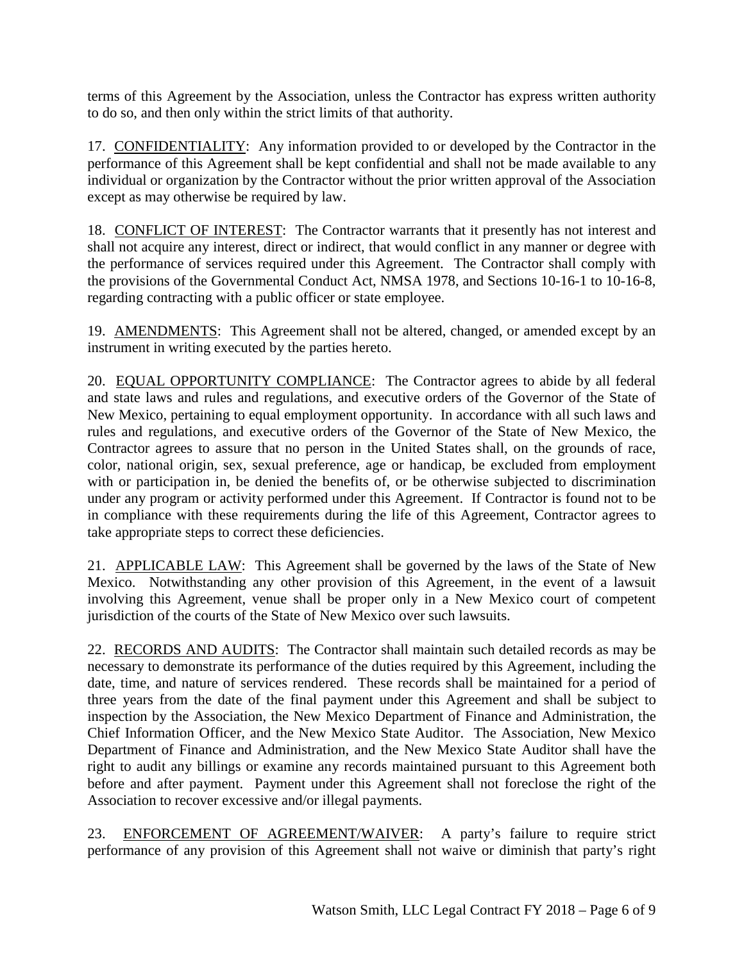terms of this Agreement by the Association, unless the Contractor has express written authority to do so, and then only within the strict limits of that authority.

17. CONFIDENTIALITY: Any information provided to or developed by the Contractor in the performance of this Agreement shall be kept confidential and shall not be made available to any individual or organization by the Contractor without the prior written approval of the Association except as may otherwise be required by law.

18. CONFLICT OF INTEREST: The Contractor warrants that it presently has not interest and shall not acquire any interest, direct or indirect, that would conflict in any manner or degree with the performance of services required under this Agreement. The Contractor shall comply with the provisions of the Governmental Conduct Act, NMSA 1978, and Sections 10-16-1 to 10-16-8, regarding contracting with a public officer or state employee.

19. AMENDMENTS: This Agreement shall not be altered, changed, or amended except by an instrument in writing executed by the parties hereto.

20. EQUAL OPPORTUNITY COMPLIANCE: The Contractor agrees to abide by all federal and state laws and rules and regulations, and executive orders of the Governor of the State of New Mexico, pertaining to equal employment opportunity. In accordance with all such laws and rules and regulations, and executive orders of the Governor of the State of New Mexico, the Contractor agrees to assure that no person in the United States shall, on the grounds of race, color, national origin, sex, sexual preference, age or handicap, be excluded from employment with or participation in, be denied the benefits of, or be otherwise subjected to discrimination under any program or activity performed under this Agreement. If Contractor is found not to be in compliance with these requirements during the life of this Agreement, Contractor agrees to take appropriate steps to correct these deficiencies.

21. APPLICABLE LAW: This Agreement shall be governed by the laws of the State of New Mexico. Notwithstanding any other provision of this Agreement, in the event of a lawsuit involving this Agreement, venue shall be proper only in a New Mexico court of competent jurisdiction of the courts of the State of New Mexico over such lawsuits.

22. RECORDS AND AUDITS: The Contractor shall maintain such detailed records as may be necessary to demonstrate its performance of the duties required by this Agreement, including the date, time, and nature of services rendered. These records shall be maintained for a period of three years from the date of the final payment under this Agreement and shall be subject to inspection by the Association, the New Mexico Department of Finance and Administration, the Chief Information Officer, and the New Mexico State Auditor. The Association, New Mexico Department of Finance and Administration, and the New Mexico State Auditor shall have the right to audit any billings or examine any records maintained pursuant to this Agreement both before and after payment. Payment under this Agreement shall not foreclose the right of the Association to recover excessive and/or illegal payments.

23. ENFORCEMENT OF AGREEMENT/WAIVER: A party's failure to require strict performance of any provision of this Agreement shall not waive or diminish that party's right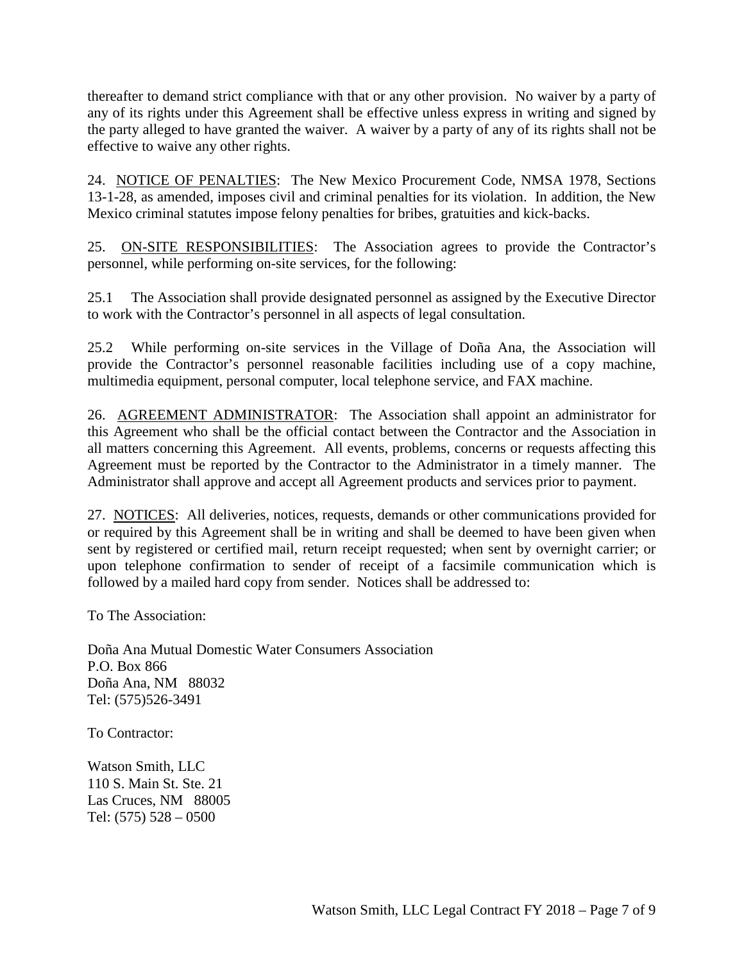thereafter to demand strict compliance with that or any other provision. No waiver by a party of any of its rights under this Agreement shall be effective unless express in writing and signed by the party alleged to have granted the waiver. A waiver by a party of any of its rights shall not be effective to waive any other rights.

24. NOTICE OF PENALTIES: The New Mexico Procurement Code, NMSA 1978, Sections 13-1-28, as amended, imposes civil and criminal penalties for its violation. In addition, the New Mexico criminal statutes impose felony penalties for bribes, gratuities and kick-backs.

25. ON-SITE RESPONSIBILITIES: The Association agrees to provide the Contractor's personnel, while performing on-site services, for the following:

25.1 The Association shall provide designated personnel as assigned by the Executive Director to work with the Contractor's personnel in all aspects of legal consultation.

25.2 While performing on-site services in the Village of Doña Ana, the Association will provide the Contractor's personnel reasonable facilities including use of a copy machine, multimedia equipment, personal computer, local telephone service, and FAX machine.

26. AGREEMENT ADMINISTRATOR: The Association shall appoint an administrator for this Agreement who shall be the official contact between the Contractor and the Association in all matters concerning this Agreement. All events, problems, concerns or requests affecting this Agreement must be reported by the Contractor to the Administrator in a timely manner. The Administrator shall approve and accept all Agreement products and services prior to payment.

27. NOTICES: All deliveries, notices, requests, demands or other communications provided for or required by this Agreement shall be in writing and shall be deemed to have been given when sent by registered or certified mail, return receipt requested; when sent by overnight carrier; or upon telephone confirmation to sender of receipt of a facsimile communication which is followed by a mailed hard copy from sender. Notices shall be addressed to:

To The Association:

Doña Ana Mutual Domestic Water Consumers Association P.O. Box 866 Doña Ana, NM 88032 Tel: (575)526-3491

To Contractor:

Watson Smith, LLC 110 S. Main St. Ste. 21 Las Cruces, NM 88005 Tel: (575) 528 – 0500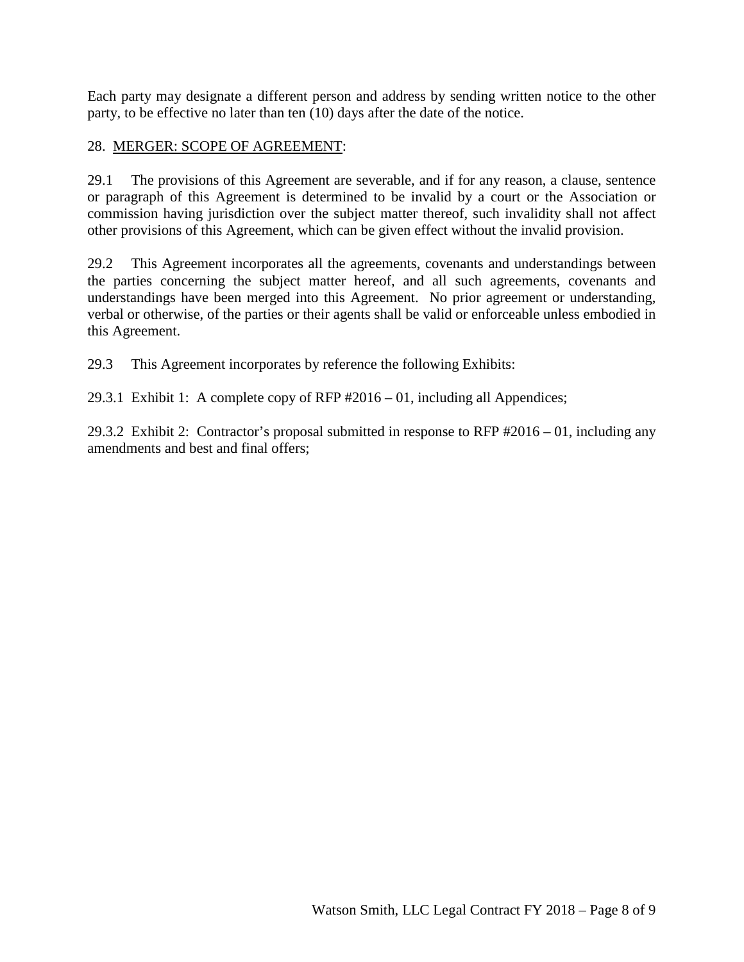Each party may designate a different person and address by sending written notice to the other party, to be effective no later than ten (10) days after the date of the notice.

#### 28. MERGER: SCOPE OF AGREEMENT:

29.1 The provisions of this Agreement are severable, and if for any reason, a clause, sentence or paragraph of this Agreement is determined to be invalid by a court or the Association or commission having jurisdiction over the subject matter thereof, such invalidity shall not affect other provisions of this Agreement, which can be given effect without the invalid provision.

29.2 This Agreement incorporates all the agreements, covenants and understandings between the parties concerning the subject matter hereof, and all such agreements, covenants and understandings have been merged into this Agreement. No prior agreement or understanding, verbal or otherwise, of the parties or their agents shall be valid or enforceable unless embodied in this Agreement.

29.3 This Agreement incorporates by reference the following Exhibits:

29.3.1 Exhibit 1: A complete copy of RFP #2016 – 01, including all Appendices;

29.3.2 Exhibit 2: Contractor's proposal submitted in response to RFP #2016 – 01, including any amendments and best and final offers;